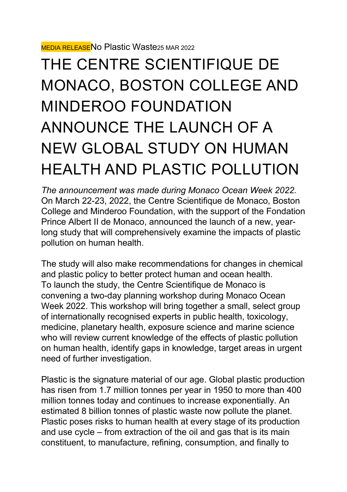## THE CENTRE SCIENTIFIQUE DE MONACO, BOSTON COLLEGE AND MINDEROO FOUNDATION ANNOUNCE THE LAUNCH OF A NEW GLOBAL STUDY ON HUMAN HEALTH AND PLASTIC POLLUTION

*The announcement was made during Monaco Ocean Week 2022.* On March 22-23, 2022, the Centre Scientifique de Monaco, Boston College and Minderoo Foundation, with the support of the Fondation Prince Albert II de Monaco, announced the launch of a new, yearlong study that will comprehensively examine the impacts of plastic pollution on human health.

The study will also make recommendations for changes in chemical and plastic policy to better protect human and ocean health. To launch the study, the Centre Scientifique de Monaco is convening a two-day planning workshop during Monaco Ocean Week 2022. This workshop will bring together a small, select group of internationally recognised experts in public health, toxicology, medicine, planetary health, exposure science and marine science who will review current knowledge of the effects of plastic pollution on human health, identify gaps in knowledge, target areas in urgent need of further investigation.

Plastic is the signature material of our age. Global plastic production has risen from 1.7 million tonnes per year in 1950 to more than 400 million tonnes today and continues to increase exponentially. An estimated 8 billion tonnes of plastic waste now pollute the planet. Plastic poses risks to human health at every stage of its production and use cycle – from extraction of the oil and gas that is its main constituent, to manufacture, refining, consumption, and finally to